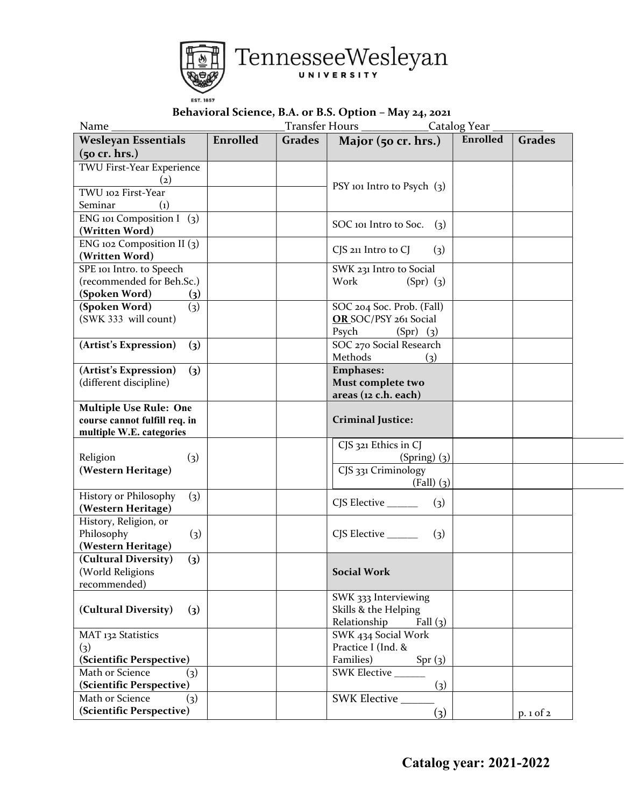

## Behavioral Science, B.A. or B.S. Option – May 24, 2021

| Enrolled<br>Enrolled<br><b>Grades</b><br><b>Wesleyan Essentials</b><br>Grades<br>Major (50 cr. hrs.)<br>$(50$ cr. hrs.)<br>TWU First-Year Experience<br>$\left( 2\right)$<br>PSY 101 Intro to Psych $(3)$<br>TWU 102 First-Year<br>Seminar<br>$\left( 1\right)$<br>ENG 101 Composition $I(3)$<br>SOC 101 Intro to Soc.<br>(3)<br>(Written Word)<br>ENG 102 Composition II $(3)$<br>CJS 211 Intro to CJ<br>(3)<br>(Written Word)<br>SPE 101 Intro. to Speech<br>SWK 231 Intro to Social<br>(recommended for Beh.Sc.)<br>Work<br>$(Spr)$ (3)<br>(Spoken Word)<br>$\left( 3\right)$<br>SOC 204 Soc. Prob. (Fall)<br>(Spoken Word)<br>$\left( 3\right)$<br>(SWK 333 will count)<br>OR SOC/PSY 261 Social<br>Psych<br>$(Spr)$ (3)<br>SOC 270 Social Research<br>(Artist's Expression)<br>(3)<br>Methods<br>(3)<br><b>Emphases:</b><br>(Artist's Expression)<br>$\left( 3\right)$<br>Must complete two<br>(different discipline)<br>areas (12 c.h. each)<br><b>Multiple Use Rule: One</b><br>course cannot fulfill req. in<br><b>Criminal Justice:</b><br>multiple W.E. categories<br>CJS 321 Ethics in CJ<br>Religion<br>$\left( 3\right)$<br>$(Spring)$ (3)<br>(Western Heritage)<br>CJS 331 Criminology<br>$(Fall)$ $(3)$<br>History or Philosophy<br>(3)<br>CJS Elective _______<br>(3)<br>(Western Heritage)<br>History, Religion, or<br>Philosophy<br>$\left( 3\right)$<br>CJS Elective _______<br>(3)<br>(Western Heritage)<br>(Cultural Diversity)<br>$\left( 3\right)$<br>(World Religions<br><b>Social Work</b><br>recommended)<br>SWK 333 Interviewing<br>(Cultural Diversity)<br>Skills & the Helping<br>(3)<br>Relationship<br>Fall $(3)$<br>SWK 434 Social Work<br>MAT 132 Statistics<br>Practice I (Ind. &<br>(3)<br>(Scientific Perspective)<br>Families)<br>Spr(3)<br>Math or Science<br>SWK Elective<br>(3)<br>(Scientific Perspective)<br>$\left( 3\right)$<br>SWK Elective<br>Math or Science<br>(3)<br>(Scientific Perspective) | Name | Catalog Year |  |     |  |              |
|------------------------------------------------------------------------------------------------------------------------------------------------------------------------------------------------------------------------------------------------------------------------------------------------------------------------------------------------------------------------------------------------------------------------------------------------------------------------------------------------------------------------------------------------------------------------------------------------------------------------------------------------------------------------------------------------------------------------------------------------------------------------------------------------------------------------------------------------------------------------------------------------------------------------------------------------------------------------------------------------------------------------------------------------------------------------------------------------------------------------------------------------------------------------------------------------------------------------------------------------------------------------------------------------------------------------------------------------------------------------------------------------------------------------------------------------------------------------------------------------------------------------------------------------------------------------------------------------------------------------------------------------------------------------------------------------------------------------------------------------------------------------------------------------------------------------------------------------------------------------------------------------------------------------------------------------|------|--------------|--|-----|--|--------------|
|                                                                                                                                                                                                                                                                                                                                                                                                                                                                                                                                                                                                                                                                                                                                                                                                                                                                                                                                                                                                                                                                                                                                                                                                                                                                                                                                                                                                                                                                                                                                                                                                                                                                                                                                                                                                                                                                                                                                                |      |              |  |     |  |              |
|                                                                                                                                                                                                                                                                                                                                                                                                                                                                                                                                                                                                                                                                                                                                                                                                                                                                                                                                                                                                                                                                                                                                                                                                                                                                                                                                                                                                                                                                                                                                                                                                                                                                                                                                                                                                                                                                                                                                                |      |              |  |     |  |              |
|                                                                                                                                                                                                                                                                                                                                                                                                                                                                                                                                                                                                                                                                                                                                                                                                                                                                                                                                                                                                                                                                                                                                                                                                                                                                                                                                                                                                                                                                                                                                                                                                                                                                                                                                                                                                                                                                                                                                                |      |              |  |     |  |              |
|                                                                                                                                                                                                                                                                                                                                                                                                                                                                                                                                                                                                                                                                                                                                                                                                                                                                                                                                                                                                                                                                                                                                                                                                                                                                                                                                                                                                                                                                                                                                                                                                                                                                                                                                                                                                                                                                                                                                                |      |              |  |     |  |              |
|                                                                                                                                                                                                                                                                                                                                                                                                                                                                                                                                                                                                                                                                                                                                                                                                                                                                                                                                                                                                                                                                                                                                                                                                                                                                                                                                                                                                                                                                                                                                                                                                                                                                                                                                                                                                                                                                                                                                                |      |              |  |     |  |              |
|                                                                                                                                                                                                                                                                                                                                                                                                                                                                                                                                                                                                                                                                                                                                                                                                                                                                                                                                                                                                                                                                                                                                                                                                                                                                                                                                                                                                                                                                                                                                                                                                                                                                                                                                                                                                                                                                                                                                                |      |              |  |     |  |              |
|                                                                                                                                                                                                                                                                                                                                                                                                                                                                                                                                                                                                                                                                                                                                                                                                                                                                                                                                                                                                                                                                                                                                                                                                                                                                                                                                                                                                                                                                                                                                                                                                                                                                                                                                                                                                                                                                                                                                                |      |              |  |     |  |              |
|                                                                                                                                                                                                                                                                                                                                                                                                                                                                                                                                                                                                                                                                                                                                                                                                                                                                                                                                                                                                                                                                                                                                                                                                                                                                                                                                                                                                                                                                                                                                                                                                                                                                                                                                                                                                                                                                                                                                                |      |              |  |     |  |              |
|                                                                                                                                                                                                                                                                                                                                                                                                                                                                                                                                                                                                                                                                                                                                                                                                                                                                                                                                                                                                                                                                                                                                                                                                                                                                                                                                                                                                                                                                                                                                                                                                                                                                                                                                                                                                                                                                                                                                                |      |              |  |     |  |              |
|                                                                                                                                                                                                                                                                                                                                                                                                                                                                                                                                                                                                                                                                                                                                                                                                                                                                                                                                                                                                                                                                                                                                                                                                                                                                                                                                                                                                                                                                                                                                                                                                                                                                                                                                                                                                                                                                                                                                                |      |              |  |     |  |              |
|                                                                                                                                                                                                                                                                                                                                                                                                                                                                                                                                                                                                                                                                                                                                                                                                                                                                                                                                                                                                                                                                                                                                                                                                                                                                                                                                                                                                                                                                                                                                                                                                                                                                                                                                                                                                                                                                                                                                                |      |              |  |     |  |              |
|                                                                                                                                                                                                                                                                                                                                                                                                                                                                                                                                                                                                                                                                                                                                                                                                                                                                                                                                                                                                                                                                                                                                                                                                                                                                                                                                                                                                                                                                                                                                                                                                                                                                                                                                                                                                                                                                                                                                                |      |              |  |     |  |              |
|                                                                                                                                                                                                                                                                                                                                                                                                                                                                                                                                                                                                                                                                                                                                                                                                                                                                                                                                                                                                                                                                                                                                                                                                                                                                                                                                                                                                                                                                                                                                                                                                                                                                                                                                                                                                                                                                                                                                                |      |              |  |     |  |              |
|                                                                                                                                                                                                                                                                                                                                                                                                                                                                                                                                                                                                                                                                                                                                                                                                                                                                                                                                                                                                                                                                                                                                                                                                                                                                                                                                                                                                                                                                                                                                                                                                                                                                                                                                                                                                                                                                                                                                                |      |              |  |     |  |              |
|                                                                                                                                                                                                                                                                                                                                                                                                                                                                                                                                                                                                                                                                                                                                                                                                                                                                                                                                                                                                                                                                                                                                                                                                                                                                                                                                                                                                                                                                                                                                                                                                                                                                                                                                                                                                                                                                                                                                                |      |              |  |     |  |              |
|                                                                                                                                                                                                                                                                                                                                                                                                                                                                                                                                                                                                                                                                                                                                                                                                                                                                                                                                                                                                                                                                                                                                                                                                                                                                                                                                                                                                                                                                                                                                                                                                                                                                                                                                                                                                                                                                                                                                                |      |              |  |     |  |              |
|                                                                                                                                                                                                                                                                                                                                                                                                                                                                                                                                                                                                                                                                                                                                                                                                                                                                                                                                                                                                                                                                                                                                                                                                                                                                                                                                                                                                                                                                                                                                                                                                                                                                                                                                                                                                                                                                                                                                                |      |              |  |     |  |              |
|                                                                                                                                                                                                                                                                                                                                                                                                                                                                                                                                                                                                                                                                                                                                                                                                                                                                                                                                                                                                                                                                                                                                                                                                                                                                                                                                                                                                                                                                                                                                                                                                                                                                                                                                                                                                                                                                                                                                                |      |              |  |     |  |              |
|                                                                                                                                                                                                                                                                                                                                                                                                                                                                                                                                                                                                                                                                                                                                                                                                                                                                                                                                                                                                                                                                                                                                                                                                                                                                                                                                                                                                                                                                                                                                                                                                                                                                                                                                                                                                                                                                                                                                                |      |              |  |     |  |              |
|                                                                                                                                                                                                                                                                                                                                                                                                                                                                                                                                                                                                                                                                                                                                                                                                                                                                                                                                                                                                                                                                                                                                                                                                                                                                                                                                                                                                                                                                                                                                                                                                                                                                                                                                                                                                                                                                                                                                                |      |              |  |     |  |              |
|                                                                                                                                                                                                                                                                                                                                                                                                                                                                                                                                                                                                                                                                                                                                                                                                                                                                                                                                                                                                                                                                                                                                                                                                                                                                                                                                                                                                                                                                                                                                                                                                                                                                                                                                                                                                                                                                                                                                                |      |              |  |     |  |              |
|                                                                                                                                                                                                                                                                                                                                                                                                                                                                                                                                                                                                                                                                                                                                                                                                                                                                                                                                                                                                                                                                                                                                                                                                                                                                                                                                                                                                                                                                                                                                                                                                                                                                                                                                                                                                                                                                                                                                                |      |              |  |     |  |              |
|                                                                                                                                                                                                                                                                                                                                                                                                                                                                                                                                                                                                                                                                                                                                                                                                                                                                                                                                                                                                                                                                                                                                                                                                                                                                                                                                                                                                                                                                                                                                                                                                                                                                                                                                                                                                                                                                                                                                                |      |              |  |     |  |              |
|                                                                                                                                                                                                                                                                                                                                                                                                                                                                                                                                                                                                                                                                                                                                                                                                                                                                                                                                                                                                                                                                                                                                                                                                                                                                                                                                                                                                                                                                                                                                                                                                                                                                                                                                                                                                                                                                                                                                                |      |              |  |     |  |              |
|                                                                                                                                                                                                                                                                                                                                                                                                                                                                                                                                                                                                                                                                                                                                                                                                                                                                                                                                                                                                                                                                                                                                                                                                                                                                                                                                                                                                                                                                                                                                                                                                                                                                                                                                                                                                                                                                                                                                                |      |              |  |     |  |              |
|                                                                                                                                                                                                                                                                                                                                                                                                                                                                                                                                                                                                                                                                                                                                                                                                                                                                                                                                                                                                                                                                                                                                                                                                                                                                                                                                                                                                                                                                                                                                                                                                                                                                                                                                                                                                                                                                                                                                                |      |              |  |     |  |              |
|                                                                                                                                                                                                                                                                                                                                                                                                                                                                                                                                                                                                                                                                                                                                                                                                                                                                                                                                                                                                                                                                                                                                                                                                                                                                                                                                                                                                                                                                                                                                                                                                                                                                                                                                                                                                                                                                                                                                                |      |              |  |     |  |              |
|                                                                                                                                                                                                                                                                                                                                                                                                                                                                                                                                                                                                                                                                                                                                                                                                                                                                                                                                                                                                                                                                                                                                                                                                                                                                                                                                                                                                                                                                                                                                                                                                                                                                                                                                                                                                                                                                                                                                                |      |              |  |     |  |              |
|                                                                                                                                                                                                                                                                                                                                                                                                                                                                                                                                                                                                                                                                                                                                                                                                                                                                                                                                                                                                                                                                                                                                                                                                                                                                                                                                                                                                                                                                                                                                                                                                                                                                                                                                                                                                                                                                                                                                                |      |              |  |     |  |              |
|                                                                                                                                                                                                                                                                                                                                                                                                                                                                                                                                                                                                                                                                                                                                                                                                                                                                                                                                                                                                                                                                                                                                                                                                                                                                                                                                                                                                                                                                                                                                                                                                                                                                                                                                                                                                                                                                                                                                                |      |              |  |     |  |              |
|                                                                                                                                                                                                                                                                                                                                                                                                                                                                                                                                                                                                                                                                                                                                                                                                                                                                                                                                                                                                                                                                                                                                                                                                                                                                                                                                                                                                                                                                                                                                                                                                                                                                                                                                                                                                                                                                                                                                                |      |              |  |     |  |              |
|                                                                                                                                                                                                                                                                                                                                                                                                                                                                                                                                                                                                                                                                                                                                                                                                                                                                                                                                                                                                                                                                                                                                                                                                                                                                                                                                                                                                                                                                                                                                                                                                                                                                                                                                                                                                                                                                                                                                                |      |              |  |     |  |              |
|                                                                                                                                                                                                                                                                                                                                                                                                                                                                                                                                                                                                                                                                                                                                                                                                                                                                                                                                                                                                                                                                                                                                                                                                                                                                                                                                                                                                                                                                                                                                                                                                                                                                                                                                                                                                                                                                                                                                                |      |              |  |     |  |              |
|                                                                                                                                                                                                                                                                                                                                                                                                                                                                                                                                                                                                                                                                                                                                                                                                                                                                                                                                                                                                                                                                                                                                                                                                                                                                                                                                                                                                                                                                                                                                                                                                                                                                                                                                                                                                                                                                                                                                                |      |              |  |     |  |              |
|                                                                                                                                                                                                                                                                                                                                                                                                                                                                                                                                                                                                                                                                                                                                                                                                                                                                                                                                                                                                                                                                                                                                                                                                                                                                                                                                                                                                                                                                                                                                                                                                                                                                                                                                                                                                                                                                                                                                                |      |              |  |     |  |              |
|                                                                                                                                                                                                                                                                                                                                                                                                                                                                                                                                                                                                                                                                                                                                                                                                                                                                                                                                                                                                                                                                                                                                                                                                                                                                                                                                                                                                                                                                                                                                                                                                                                                                                                                                                                                                                                                                                                                                                |      |              |  |     |  |              |
|                                                                                                                                                                                                                                                                                                                                                                                                                                                                                                                                                                                                                                                                                                                                                                                                                                                                                                                                                                                                                                                                                                                                                                                                                                                                                                                                                                                                                                                                                                                                                                                                                                                                                                                                                                                                                                                                                                                                                |      |              |  |     |  |              |
|                                                                                                                                                                                                                                                                                                                                                                                                                                                                                                                                                                                                                                                                                                                                                                                                                                                                                                                                                                                                                                                                                                                                                                                                                                                                                                                                                                                                                                                                                                                                                                                                                                                                                                                                                                                                                                                                                                                                                |      |              |  |     |  |              |
|                                                                                                                                                                                                                                                                                                                                                                                                                                                                                                                                                                                                                                                                                                                                                                                                                                                                                                                                                                                                                                                                                                                                                                                                                                                                                                                                                                                                                                                                                                                                                                                                                                                                                                                                                                                                                                                                                                                                                |      |              |  |     |  |              |
|                                                                                                                                                                                                                                                                                                                                                                                                                                                                                                                                                                                                                                                                                                                                                                                                                                                                                                                                                                                                                                                                                                                                                                                                                                                                                                                                                                                                                                                                                                                                                                                                                                                                                                                                                                                                                                                                                                                                                |      |              |  |     |  |              |
|                                                                                                                                                                                                                                                                                                                                                                                                                                                                                                                                                                                                                                                                                                                                                                                                                                                                                                                                                                                                                                                                                                                                                                                                                                                                                                                                                                                                                                                                                                                                                                                                                                                                                                                                                                                                                                                                                                                                                |      |              |  |     |  |              |
|                                                                                                                                                                                                                                                                                                                                                                                                                                                                                                                                                                                                                                                                                                                                                                                                                                                                                                                                                                                                                                                                                                                                                                                                                                                                                                                                                                                                                                                                                                                                                                                                                                                                                                                                                                                                                                                                                                                                                |      |              |  |     |  |              |
|                                                                                                                                                                                                                                                                                                                                                                                                                                                                                                                                                                                                                                                                                                                                                                                                                                                                                                                                                                                                                                                                                                                                                                                                                                                                                                                                                                                                                                                                                                                                                                                                                                                                                                                                                                                                                                                                                                                                                |      |              |  |     |  |              |
|                                                                                                                                                                                                                                                                                                                                                                                                                                                                                                                                                                                                                                                                                                                                                                                                                                                                                                                                                                                                                                                                                                                                                                                                                                                                                                                                                                                                                                                                                                                                                                                                                                                                                                                                                                                                                                                                                                                                                |      |              |  | (3) |  | $p.1$ of $2$ |